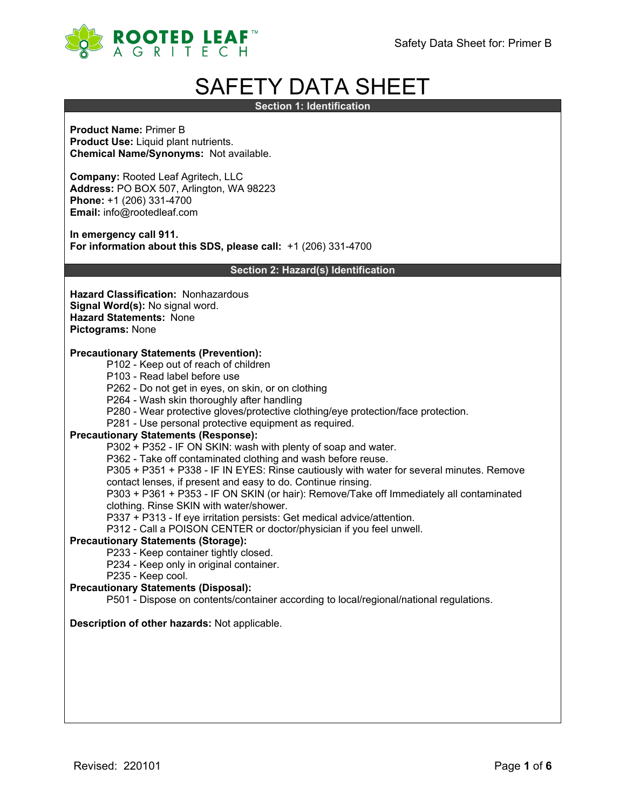

# SAFETY DATA SHEET

**Section 1: Identification**

**Product Name:** Primer B **Product Use:** Liquid plant nutrients. **Chemical Name/Synonyms:** Not available.

**Company:** Rooted Leaf Agritech, LLC **Address:** PO BOX 507, Arlington, WA 98223 **Phone:** +1 (206) 331-4700 **Email:** info@rootedleaf.com

**In emergency call 911. For information about this SDS, please call:** +1 (206) 331-4700

**Section 2: Hazard(s) Identification**

**Hazard Classification:** Nonhazardous **Signal Word(s):** No signal word. **Hazard Statements:** None **Pictograms:** None

#### **Precautionary Statements (Prevention):**

- P102 Keep out of reach of children
- P103 Read label before use
- P262 Do not get in eyes, on skin, or on clothing
- P264 Wash skin thoroughly after handling
- P280 Wear protective gloves/protective clothing/eye protection/face protection.
- P281 Use personal protective equipment as required.

#### **Precautionary Statements (Response):**

P302 + P352 - IF ON SKIN: wash with plenty of soap and water.

P362 - Take off contaminated clothing and wash before reuse.

P305 + P351 + P338 - IF IN EYES: Rinse cautiously with water for several minutes. Remove

- contact lenses, if present and easy to do. Continue rinsing. P303 + P361 + P353 - IF ON SKIN (or hair): Remove/Take off Immediately all contaminated
- clothing. Rinse SKIN with water/shower.
- P337 + P313 If eye irritation persists: Get medical advice/attention.
- P312 Call a POISON CENTER or doctor/physician if you feel unwell.

#### **Precautionary Statements (Storage):**

- P233 Keep container tightly closed.
- P234 Keep only in original container.
- P235 Keep cool.

## **Precautionary Statements (Disposal):**

P501 - Dispose on contents/container according to local/regional/national regulations.

## **Description of other hazards:** Not applicable.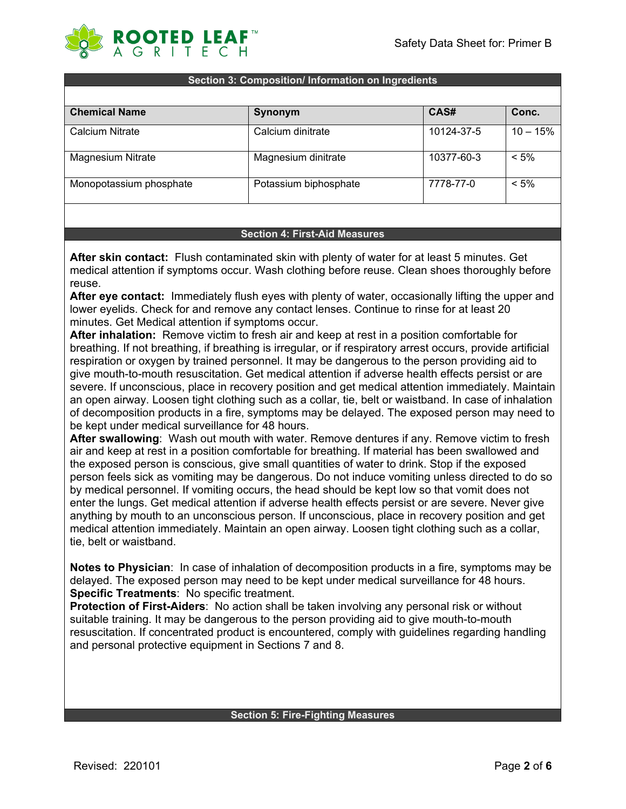

#### **Section 3: Composition/ Information on Ingredients**

| <b>Chemical Name</b>    | Synonym               | CAS#       | Conc.      |
|-------------------------|-----------------------|------------|------------|
| Calcium Nitrate         | Calcium dinitrate     | 10124-37-5 | $10 - 15%$ |
| Magnesium Nitrate       | Magnesium dinitrate   | 10377-60-3 | $< 5\%$    |
| Monopotassium phosphate | Potassium biphosphate | 7778-77-0  | $< 5\%$    |

#### **Section 4: First-Aid Measures**

**After skin contact:** Flush contaminated skin with plenty of water for at least 5 minutes. Get medical attention if symptoms occur. Wash clothing before reuse. Clean shoes thoroughly before reuse.

**After eye contact:** Immediately flush eyes with plenty of water, occasionally lifting the upper and lower eyelids. Check for and remove any contact lenses. Continue to rinse for at least 20 minutes. Get Medical attention if symptoms occur.

**After inhalation:** Remove victim to fresh air and keep at rest in a position comfortable for breathing. If not breathing, if breathing is irregular, or if respiratory arrest occurs, provide artificial respiration or oxygen by trained personnel. It may be dangerous to the person providing aid to give mouth-to-mouth resuscitation. Get medical attention if adverse health effects persist or are severe. If unconscious, place in recovery position and get medical attention immediately. Maintain an open airway. Loosen tight clothing such as a collar, tie, belt or waistband. In case of inhalation of decomposition products in a fire, symptoms may be delayed. The exposed person may need to be kept under medical surveillance for 48 hours.

**After swallowing**: Wash out mouth with water. Remove dentures if any. Remove victim to fresh air and keep at rest in a position comfortable for breathing. If material has been swallowed and the exposed person is conscious, give small quantities of water to drink. Stop if the exposed person feels sick as vomiting may be dangerous. Do not induce vomiting unless directed to do so by medical personnel. If vomiting occurs, the head should be kept low so that vomit does not enter the lungs. Get medical attention if adverse health effects persist or are severe. Never give anything by mouth to an unconscious person. If unconscious, place in recovery position and get medical attention immediately. Maintain an open airway. Loosen tight clothing such as a collar, tie, belt or waistband.

**Notes to Physician**: In case of inhalation of decomposition products in a fire, symptoms may be delayed. The exposed person may need to be kept under medical surveillance for 48 hours. **Specific Treatments**: No specific treatment.

**Protection of First-Aiders**: No action shall be taken involving any personal risk or without suitable training. It may be dangerous to the person providing aid to give mouth-to-mouth resuscitation. If concentrated product is encountered, comply with guidelines regarding handling and personal protective equipment in Sections 7 and 8.

#### **Section 5: Fire-Fighting Measures**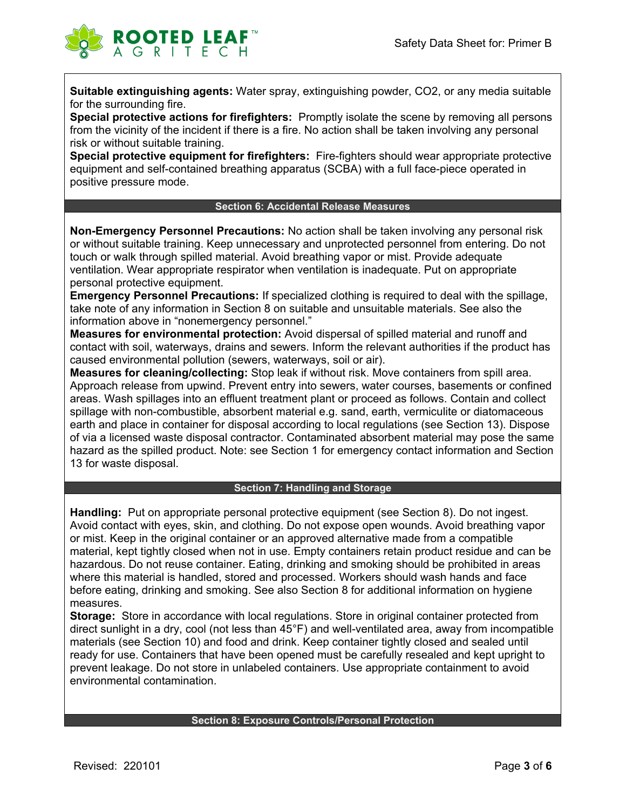

**Suitable extinguishing agents:** Water spray, extinguishing powder, CO2, or any media suitable for the surrounding fire.

**Special protective actions for firefighters:** Promptly isolate the scene by removing all persons from the vicinity of the incident if there is a fire. No action shall be taken involving any personal risk or without suitable training.

**Special protective equipment for firefighters:** Fire-fighters should wear appropriate protective equipment and self-contained breathing apparatus (SCBA) with a full face-piece operated in positive pressure mode.

#### **Section 6: Accidental Release Measures**

**Non-Emergency Personnel Precautions:** No action shall be taken involving any personal risk or without suitable training. Keep unnecessary and unprotected personnel from entering. Do not touch or walk through spilled material. Avoid breathing vapor or mist. Provide adequate ventilation. Wear appropriate respirator when ventilation is inadequate. Put on appropriate personal protective equipment.

**Emergency Personnel Precautions:** If specialized clothing is required to deal with the spillage, take note of any information in Section 8 on suitable and unsuitable materials. See also the information above in "nonemergency personnel."

**Measures for environmental protection:** Avoid dispersal of spilled material and runoff and contact with soil, waterways, drains and sewers. Inform the relevant authorities if the product has caused environmental pollution (sewers, waterways, soil or air).

**Measures for cleaning/collecting:** Stop leak if without risk. Move containers from spill area. Approach release from upwind. Prevent entry into sewers, water courses, basements or confined areas. Wash spillages into an effluent treatment plant or proceed as follows. Contain and collect spillage with non-combustible, absorbent material e.g. sand, earth, vermiculite or diatomaceous earth and place in container for disposal according to local regulations (see Section 13). Dispose of via a licensed waste disposal contractor. Contaminated absorbent material may pose the same hazard as the spilled product. Note: see Section 1 for emergency contact information and Section 13 for waste disposal.

#### **Section 7: Handling and Storage**

**Handling:** Put on appropriate personal protective equipment (see Section 8). Do not ingest. Avoid contact with eyes, skin, and clothing. Do not expose open wounds. Avoid breathing vapor or mist. Keep in the original container or an approved alternative made from a compatible material, kept tightly closed when not in use. Empty containers retain product residue and can be hazardous. Do not reuse container. Eating, drinking and smoking should be prohibited in areas where this material is handled, stored and processed. Workers should wash hands and face before eating, drinking and smoking. See also Section 8 for additional information on hygiene measures.

**Storage:** Store in accordance with local regulations. Store in original container protected from direct sunlight in a dry, cool (not less than 45°F) and well-ventilated area, away from incompatible materials (see Section 10) and food and drink. Keep container tightly closed and sealed until ready for use. Containers that have been opened must be carefully resealed and kept upright to prevent leakage. Do not store in unlabeled containers. Use appropriate containment to avoid environmental contamination.

## **Section 8: Exposure Controls/Personal Protection**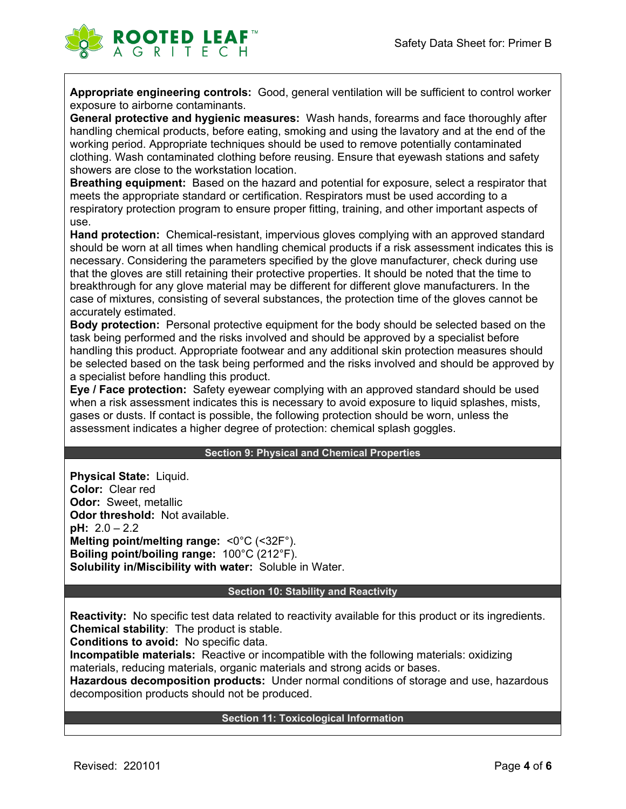

**Appropriate engineering controls:** Good, general ventilation will be sufficient to control worker exposure to airborne contaminants.

**General protective and hygienic measures:** Wash hands, forearms and face thoroughly after handling chemical products, before eating, smoking and using the lavatory and at the end of the working period. Appropriate techniques should be used to remove potentially contaminated clothing. Wash contaminated clothing before reusing. Ensure that eyewash stations and safety showers are close to the workstation location.

**Breathing equipment:** Based on the hazard and potential for exposure, select a respirator that meets the appropriate standard or certification. Respirators must be used according to a respiratory protection program to ensure proper fitting, training, and other important aspects of use.

**Hand protection:** Chemical-resistant, impervious gloves complying with an approved standard should be worn at all times when handling chemical products if a risk assessment indicates this is necessary. Considering the parameters specified by the glove manufacturer, check during use that the gloves are still retaining their protective properties. It should be noted that the time to breakthrough for any glove material may be different for different glove manufacturers. In the case of mixtures, consisting of several substances, the protection time of the gloves cannot be accurately estimated.

**Body protection:** Personal protective equipment for the body should be selected based on the task being performed and the risks involved and should be approved by a specialist before handling this product. Appropriate footwear and any additional skin protection measures should be selected based on the task being performed and the risks involved and should be approved by a specialist before handling this product.

**Eye / Face protection:** Safety eyewear complying with an approved standard should be used when a risk assessment indicates this is necessary to avoid exposure to liquid splashes, mists, gases or dusts. If contact is possible, the following protection should be worn, unless the assessment indicates a higher degree of protection: chemical splash goggles.

#### **Section 9: Physical and Chemical Properties**

**Physical State:** Liquid. **Color:** Clear red **Odor:** Sweet, metallic **Odor threshold:** Not available. **pH:** 2.0 – 2.2 **Melting point/melting range:** <0°C (<32F°). **Boiling point/boiling range:** 100°C (212°F). **Solubility in/Miscibility with water:** Soluble in Water.

#### **Section 10: Stability and Reactivity**

**Reactivity:** No specific test data related to reactivity available for this product or its ingredients. **Chemical stability**: The product is stable.

**Conditions to avoid:** No specific data.

**Incompatible materials:** Reactive or incompatible with the following materials: oxidizing materials, reducing materials, organic materials and strong acids or bases.

**Hazardous decomposition products:** Under normal conditions of storage and use, hazardous decomposition products should not be produced.

#### **Section 11: Toxicological Information**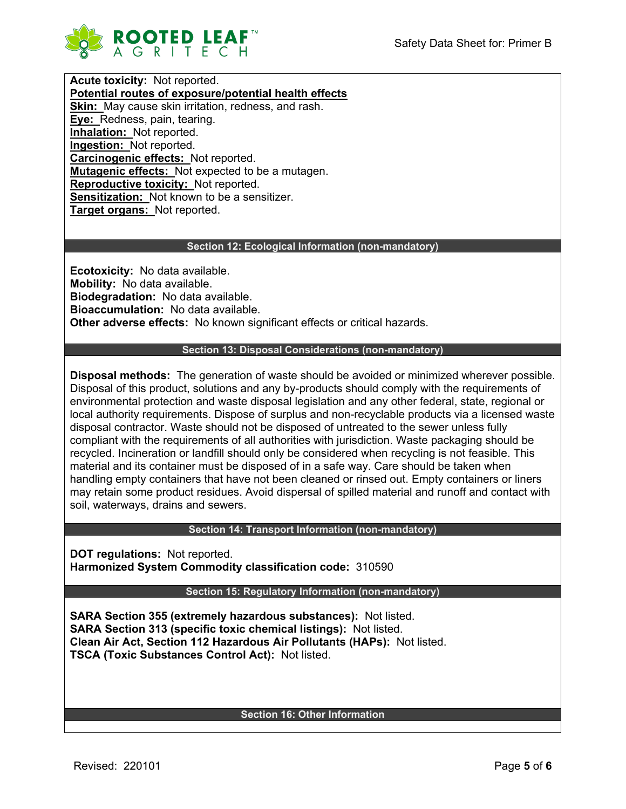

**Acute toxicity:** Not reported. **Potential routes of exposure/potential health effects Skin:** May cause skin irritation, redness, and rash. **Eye:** Redness, pain, tearing. **Inhalation:** Not reported. **Ingestion:** Not reported. **Carcinogenic effects:** Not reported. **Mutagenic effects:** Not expected to be a mutagen. **Reproductive toxicity:** Not reported. **Sensitization:** Not known to be a sensitizer. **Target organs:** Not reported.

## **Section 12: Ecological Information (non-mandatory)**

**Ecotoxicity:** No data available. **Mobility:** No data available. **Biodegradation:** No data available. **Bioaccumulation:** No data available. **Other adverse effects:** No known significant effects or critical hazards.

## **Section 13: Disposal Considerations (non-mandatory)**

**Disposal methods:** The generation of waste should be avoided or minimized wherever possible. Disposal of this product, solutions and any by-products should comply with the requirements of environmental protection and waste disposal legislation and any other federal, state, regional or local authority requirements. Dispose of surplus and non-recyclable products via a licensed waste disposal contractor. Waste should not be disposed of untreated to the sewer unless fully compliant with the requirements of all authorities with jurisdiction. Waste packaging should be recycled. Incineration or landfill should only be considered when recycling is not feasible. This material and its container must be disposed of in a safe way. Care should be taken when handling empty containers that have not been cleaned or rinsed out. Empty containers or liners may retain some product residues. Avoid dispersal of spilled material and runoff and contact with soil, waterways, drains and sewers.

#### **Section 14: Transport Information (non-mandatory)**

**DOT regulations:** Not reported. **Harmonized System Commodity classification code:** 310590

**Section 15: Regulatory Information (non-mandatory)**

**SARA Section 355 (extremely hazardous substances):** Not listed. **SARA Section 313 (specific toxic chemical listings):** Not listed. **Clean Air Act, Section 112 Hazardous Air Pollutants (HAPs):** Not listed. **TSCA (Toxic Substances Control Act):** Not listed.

#### **Section 16: Other Information**